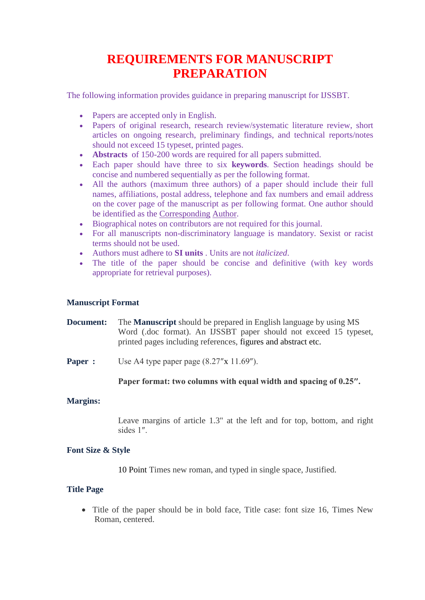# **REQUIREMENTS FOR MANUSCRIPT PREPARATION**

The following information provides guidance in preparing manuscript for IJSSBT.

- Papers are accepted only in English.
- Papers of original research, research review/systematic literature review, short articles on ongoing research, preliminary findings, and technical reports/notes should not exceed 15 typeset, printed pages.
- **[Abstracts](http://journalauthors.tandf.co.uk/preparation/writing.asp)** of 150-200 words are required for all papers submitted.
- Each paper should have three to six **[keywords](http://journalauthors.tandf.co.uk/preparation/writing.asp)**. Section headings should be concise and numbered sequentially as per the following format.
- All the authors (maximum three authors) of a paper should include their full names, affiliations, postal address, telephone and fax numbers and email address on the cover page of the manuscript as per following format. One author should be identified as the Corresponding Author.
- Biographical notes on contributors are not required for this journal.
- For all manuscripts non-discriminatory language is mandatory. Sexist or racist terms should not be used.
- Authors must adhere to **[SI units](http://www.bipm.org/en/si/)** . Units are not *italicized*.
- The title of the paper should be concise and definitive (with key words appropriate for retrieval purposes).

# **Manuscript Format**

# **Document:** The **Manuscript** should be prepared in English language by using MS Word (.doc format). An IJSSBT paper should not exceed 15 typeset, printed pages including references, figures and abstract etc.

**Paper :** Use A4 type paper page (8.27"x 11.69").

# **Paper format: two columns with equal width and spacing of 0.25″.**

# **Margins:**

Leave margins of article 1.3" at the left and for top, bottom, and right sides 1″.

# **Font Size & Style**

10 Point Times new roman, and typed in single space, Justified.

# **Title Page**

• Title of the paper should be in bold face, Title case: font size 16, Times New Roman, centered.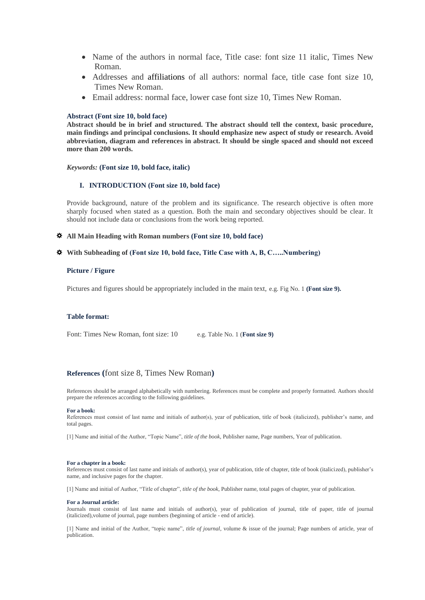- Name of the authors in normal face, Title case: font size 11 italic, Times New Roman.
- Addresses and affiliations of all authors: normal face, title case font size 10, Times New Roman.
- Email address: normal face, lower case font size 10, Times New Roman.

## **Abstract (Font size 10, bold face)**

**Abstract should be in brief and structured. The abstract should tell the context, basic procedure, main findings and principal conclusions. It should emphasize new aspect of study or research. Avoid abbreviation, diagram and references in abstract. It should be single spaced and should not exceed more than 200 words.**

*Keywords:* **(Font size 10, bold face, italic)**

## **I. INTRODUCTION (Font size 10, bold face)**

Provide background, nature of the problem and its significance. The research objective is often more sharply focused when stated as a question. Both the main and secondary objectives should be clear. It should not include data or conclusions from the work being reported.

### **All Main Heading with Roman numbers (Font size 10, bold face)**

## **With Subheading of (Font size 10, bold face, Title Case with A, B, C…..Numbering)**

## **Picture / Figure**

Pictures and figures should be appropriately included in the main text, e.g. Fig No. 1 **(Font size 9).**

## **Table format:**

Font: Times New Roman, font size: 10 e.g. Table No. 1 (**Font size 9**)

## **References (**font size 8, Times New Roman**)**

References should be arranged alphabetically with numbering. References must be complete and properly formatted. Authors should prepare the references according to the following guidelines.

#### **For a book:**

References must consist of last name and initials of author(s), year of publication, title of book (italicized), publisher's name, and total pages.

[1] Name and initial of the Author, "Topic Name", *title of the book*, Publisher name, Page numbers, Year of publication.

#### **For a chapter in a book:**

References must consist of last name and initials of author(s), year of publication, title of chapter, title of book (italicized), publisher's name, and inclusive pages for the chapter.

[1] Name and initial of Author, "Title of chapter", *title of the book*, Publisher name, total pages of chapter, year of publication.

#### **For a Journal article:**

Journals must consist of last name and initials of author(s), year of publication of journal, title of paper, title of journal (italicized),volume of journal, page numbers (beginning of article - end of article).

[1] Name and initial of the Author, "topic name", *title of journal*, volume & issue of the journal; Page numbers of article, year of publication.